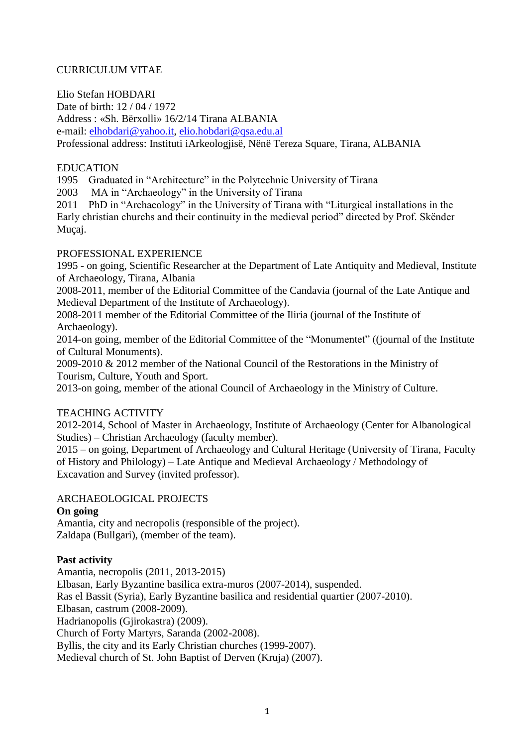# CURRICULUM VITAE

Elio Stefan HOBDARI Date of birth: 12 / 04 / 1972 Address : «Sh. Bërxolli» 16/2/14 Tirana ALBANIA e-mail: [elhobdari@yahoo.it,](mailto:elhobdari@yahoo.it) [elio.hobdari@qsa.edu.al](mailto:elio.hobdari@qsa.edu.al) Professional address: Instituti iArkeologjisë, Nënë Tereza Square, Tirana, ALBANIA

#### EDUCATION

1995 Graduated in "Architecture" in the Polytechnic University of Tirana

2003 MA in "Archaeology" in the University of Tirana

2011 PhD in "Archaeology" in the University of Tirana with "Liturgical installations in the Early christian churchs and their continuity in the medieval period" directed by Prof. Skënder Muçaj.

#### PROFESSIONAL EXPERIENCE

1995 - on going, Scientific Researcher at the Department of Late Antiquity and Medieval, Institute of Archaeology, Tirana, Albania

2008-2011, member of the Editorial Committee of the Candavia (journal of the Late Antique and Medieval Department of the Institute of Archaeology).

2008-2011 member of the Editorial Committee of the Iliria (journal of the Institute of Archaeology).

2014-on going, member of the Editorial Committee of the "Monumentet" ((journal of the Institute of Cultural Monuments).

2009-2010 & 2012 member of the National Council of the Restorations in the Ministry of Tourism, Culture, Youth and Sport.

2013-on going, member of the ational Council of Archaeology in the Ministry of Culture.

# TEACHING ACTIVITY

2012-2014, School of Master in Archaeology, Institute of Archaeology (Center for Albanological Studies) – Christian Archaeology (faculty member).

2015 – on going, Department of Archaeology and Cultural Heritage (University of Tirana, Faculty of History and Philology) – Late Antique and Medieval Archaeology / Methodology of Excavation and Survey (invited professor).

# ARCHAEOLOGICAL PROJECTS

# **On going**

Amantia, city and necropolis (responsible of the project). Zaldapa (Bullgari), (member of the team).

# **Past activity**

Amantia, necropolis (2011, 2013-2015) Elbasan, Early Byzantine basilica extra-muros (2007-2014), suspended. Ras el Bassit (Syria), Early Byzantine basilica and residential quartier (2007-2010). Elbasan, castrum (2008-2009). Hadrianopolis (Gjirokastra) (2009). Church of Forty Martyrs, Saranda (2002-2008). Byllis, the city and its Early Christian churches (1999-2007). Medieval church of St. John Baptist of Derven (Kruja) (2007).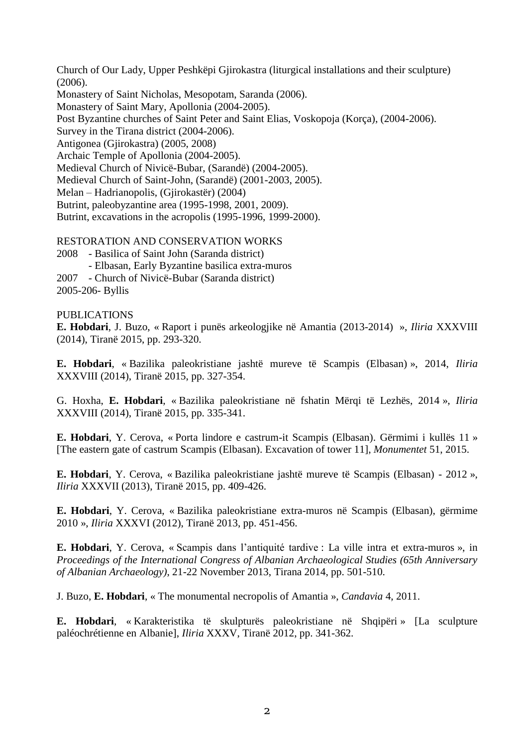Church of Our Lady, Upper Peshkëpi Gjirokastra (liturgical installations and their sculpture) (2006). Monastery of Saint Nicholas, Mesopotam, Saranda (2006). Monastery of Saint Mary, Apollonia (2004-2005). Post Byzantine churches of Saint Peter and Saint Elias, Voskopoja (Korça), (2004-2006). Survey in the Tirana district (2004-2006). Antigonea (Gjirokastra) (2005, 2008) Archaic Temple of Apollonia (2004-2005). Medieval Church of Nivicë-Bubar, (Sarandë) (2004-2005). Medieval Church of Saint-John, (Sarandë) (2001-2003, 2005). Melan – Hadrianopolis, (Gjirokastër) (2004) Butrint, paleobyzantine area (1995-1998, 2001, 2009). Butrint, excavations in the acropolis (1995-1996, 1999-2000).

RESTORATION AND CONSERVATION WORKS

2008 - Basilica of Saint John (Saranda district) - Elbasan, Early Byzantine basilica extra-muros 2007 - Church of Nivicë-Bubar (Saranda district)

2005-206- Byllis

PUBLICATIONS

**E. Hobdari**, J. Buzo, « Raport i punës arkeologjike në Amantia (2013-2014) », *Iliria* XXXVIII (2014), Tiranë 2015, pp. 293-320.

**E. Hobdari**, « Bazilika paleokristiane jashtë mureve të Scampis (Elbasan) », 2014, *Iliria* XXXVIII (2014), Tiranë 2015, pp. 327-354.

G. Hoxha, **E. Hobdari**, « Bazilika paleokristiane në fshatin Mërqi të Lezhës, 2014 », *Iliria* XXXVIII (2014), Tiranë 2015, pp. 335-341.

**E. Hobdari**, Y. Cerova, « Porta lindore e castrum-it Scampis (Elbasan). Gërmimi i kullës 11 » [The eastern gate of castrum Scampis (Elbasan). Excavation of tower 11], *Monumentet* 51, 2015.

**E. Hobdari**, Y. Cerova, « Bazilika paleokristiane jashtë mureve të Scampis (Elbasan) - 2012 », *Iliria* XXXVII (2013), Tiranë 2015, pp. 409-426.

**E. Hobdari**, Y. Cerova, « Bazilika paleokristiane extra-muros në Scampis (Elbasan), gërmime 2010 », *Iliria* XXXVI (2012), Tiranë 2013, pp. 451-456.

**E. Hobdari**, Y. Cerova, « Scampis dans l'antiquité tardive : La ville intra et extra-muros », in *Proceedings of the International Congress of Albanian Archaeological Studies (65th Anniversary of Albanian Archaeology)*, 21-22 November 2013, Tirana 2014, pp. 501-510.

J. Buzo, **E. Hobdari**, « The monumental necropolis of Amantia », *Candavia* 4, 2011.

**E. Hobdari**, « Karakteristika të skulpturës paleokristiane në Shqipëri » [La sculpture paléochrétienne en Albanie], *Iliria* XXXV, Tiranë 2012, pp. 341-362.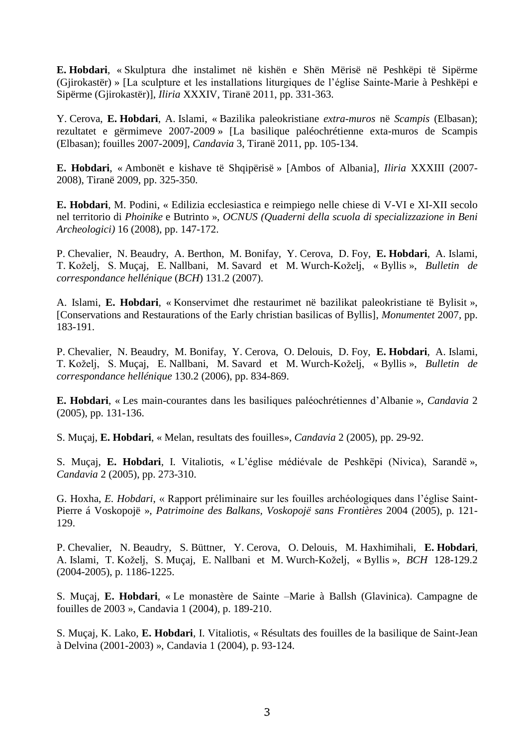**E. Hobdari**, « Skulptura dhe instalimet në kishën e Shën Mërisë në Peshkëpi të Sipërme (Gjirokastër) » [La sculpture et les installations liturgiques de l'église Sainte-Marie à Peshkëpi e Sipërme (Gjirokastër)], *Iliria* XXXIV, Tiranë 2011, pp. 331-363.

Y. Cerova, **E. Hobdari**, A. Islami, « Bazilika paleokristiane *extra-muros* në *Scampis* (Elbasan); rezultatet e gërmimeve 2007-2009 » [La basilique paléochrétienne exta-muros de Scampis (Elbasan); fouilles 2007-2009], *Candavia* 3, Tiranë 2011, pp. 105-134.

**E. Hobdari**, « Ambonët e kishave të Shqipërisë » [Ambos of Albania], *Iliria* XXXIII (2007- 2008), Tiranë 2009, pp. 325-350.

**E. Hobdari**, M. Podini, « Edilizia ecclesiastica e reimpiego nelle chiese di V-VI e XI-XII secolo nel territorio di *Phoinike* e Butrinto », *OCNUS (Quaderni della scuola di specializzazione in Beni Archeologici)* 16 (2008), pp. 147-172.

P. Chevalier, N. Beaudry, A. Berthon, M. Bonifay, Y. Cerova, D. Foy, **E. Hobdari**, A. Islami, T. Koželj, S. Muçaj, E. Nallbani, M. Savard et M. Wurch-Koželj, « Byllis », *Bulletin de correspondance hellénique* (*BCH*) 131.2 (2007).

A. Islami, **E. Hobdari**, « Konservimet dhe restaurimet në bazilikat paleokristiane të Bylisit », [Conservations and Restaurations of the Early christian basilicas of Byllis], *Monumentet* 2007, pp. 183-191.

P. Chevalier, N. Beaudry, M. Bonifay, Y. Cerova, O. Delouis, D. Foy, **E. Hobdari**, A. Islami, T. Koželj, S. Muçaj, E. Nallbani, M. Savard et M. Wurch-Koželj, « Byllis », *Bulletin de correspondance hellénique* 130.2 (2006), pp. 834-869.

**E. Hobdari**, « Les main-courantes dans les basiliques paléochrétiennes d'Albanie », *Candavia* 2 (2005), pp. 131-136.

S. Muçaj, **E. Hobdari**, « Melan, resultats des fouilles», *Candavia* 2 (2005), pp. 29-92.

S. Muçaj, **E. Hobdari**, I. Vitaliotis, « L'église médiévale de Peshkëpi (Nivica), Sarandë », *Candavia* 2 (2005), pp. 273-310.

G. Hoxha, *E. Hobdari*, « Rapport préliminaire sur les fouilles archéologiques dans l'église Saint-Pierre á Voskopojë », *Patrimoine des Balkans, Voskopojë sans Frontières* 2004 (2005), p. 121- 129.

P. Chevalier, N. Beaudry, S. Büttner, Y. Cerova, O. Delouis, M. Haxhimihali, **E. Hobdari**, A. Islami, T. Koželj, S. Muçaj, E. Nallbani et M. Wurch-Koželj, « Byllis », *BCH* 128-129.2 (2004-2005), p. 1186-1225.

S. Muçaj, **E. Hobdari**, « Le monastère de Sainte –Marie à Ballsh (Glavinica). Campagne de fouilles de 2003 », Candavia 1 (2004), p. 189-210.

S. Muçaj, K. Lako, **E. Hobdari**, I. Vitaliotis, « Résultats des fouilles de la basilique de Saint-Jean à Delvina (2001-2003) », Candavia 1 (2004), p. 93-124.